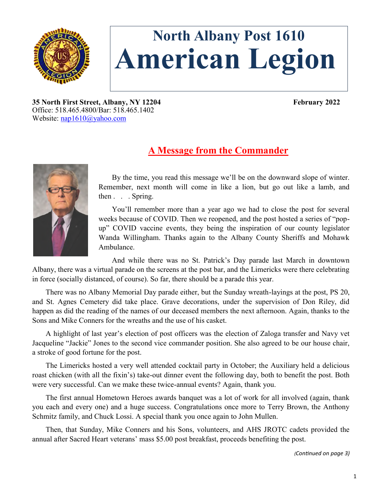

# **North Albany Post 1610 American Legion**

**35 North First Street, Albany, NY 12204 February 2022** Office: 518.465.4800/Bar: 518.465.1402 Website: [nap1610@yahoo.com](mailto:nap1610@yahoo.com)

# **A Message from the Commander**



By the time, you read this message we'll be on the downward slope of winter. Remember, next month will come in like a lion, but go out like a lamb, and then . . . Spring.

You'll remember more than a year ago we had to close the post for several weeks because of COVID. Then we reopened, and the post hosted a series of "popup" COVID vaccine events, they being the inspiration of our county legislator Wanda Willingham. Thanks again to the Albany County Sheriffs and Mohawk Ambulance.

And while there was no St. Patrick's Day parade last March in downtown Albany, there was a virtual parade on the screens at the post bar, and the Limericks were there celebrating in force (socially distanced, of course). So far, there should be a parade this year.

There was no Albany Memorial Day parade either, but the Sunday wreath-layings at the post, PS 20, and St. Agnes Cemetery did take place. Grave decorations, under the supervision of Don Riley, did happen as did the reading of the names of our deceased members the next afternoon. Again, thanks to the Sons and Mike Conners for the wreaths and the use of his casket.

A highlight of last year's election of post officers was the election of Zaloga transfer and Navy vet Jacqueline "Jackie" Jones to the second vice commander position. She also agreed to be our house chair, a stroke of good fortune for the post.

The Limericks hosted a very well attended cocktail party in October; the Auxiliary held a delicious roast chicken (with all the fixin's) take-out dinner event the following day, both to benefit the post. Both were very successful. Can we make these twice-annual events? Again, thank you.

The first annual Hometown Heroes awards banquet was a lot of work for all involved (again, thank you each and every one) and a huge success. Congratulations once more to Terry Brown, the Anthony Schmitz family, and Chuck Lossi. A special thank you once again to John Mullen.

Then, that Sunday, Mike Conners and his Sons, volunteers, and AHS JROTC cadets provided the annual after Sacred Heart veterans' mass \$5.00 post breakfast, proceeds benefiting the post.

*(Continued on page 3)*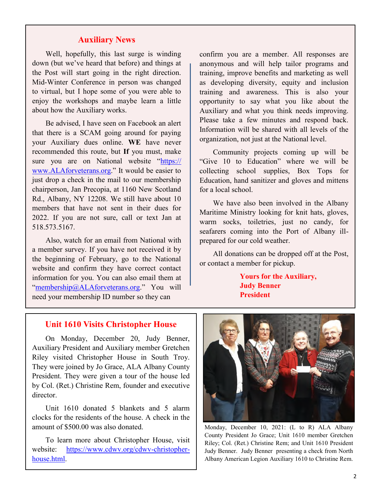## **Auxiliary News**

Well, hopefully, this last surge is winding down (but we've heard that before) and things at the Post will start going in the right direction. Mid-Winter Conference in person was changed to virtual, but I hope some of you were able to enjoy the workshops and maybe learn a little about how the Auxiliary works.

Be advised, I have seen on Facebook an alert that there is a SCAM going around for paying your Auxiliary dues online. **WE** have never recommended this route, but **If** you must, make sure you are on National website "[https://](https://www.legion-aux.org/) [www.ALAforveterans.org.](https://www.legion-aux.org/)" It would be easier to just drop a check in the mail to our membership chairperson, Jan Precopia, at 1160 New Scotland Rd., Albany, NY 12208. We still have about 10 members that have not sent in their dues for 2022. If you are not sure, call or text Jan at 518.573.5167.

Also, watch for an email from National with a member survey. If you have not received it by the beginning of February, go to the National website and confirm they have correct contact information for you. You can also email them at ["membership@ALAforveterans.org.](mailto:membership@ALAforveterans.org)" You will need your membership ID number so they can

confirm you are a member. All responses are anonymous and will help tailor programs and training, improve benefits and marketing as well as developing diversity, equity and inclusion training and awareness. This is also your opportunity to say what you like about the Auxiliary and what you think needs improving. Please take a few minutes and respond back. Information will be shared with all levels of the organization, not just at the National level.

Community projects coming up will be "Give 10 to Education" where we will be collecting school supplies, Box Tops for Education, hand sanitizer and gloves and mittens for a local school.

We have also been involved in the Albany Maritime Ministry looking for knit hats, gloves, warm socks, toiletries, just no candy, for seafarers coming into the Port of Albany illprepared for our cold weather.

All donations can be dropped off at the Post, or contact a member for pickup.

> **Yours for the Auxiliary, Judy Benner President**

#### **Unit 1610 Visits Christopher House**

On Monday, December 20, Judy Benner, Auxiliary President and Auxiliary member Gretchen Riley visited Christopher House in South Troy. They were joined by Jo Grace, ALA Albany County President. They were given a tour of the house led by Col. (Ret.) Christine Rem, founder and executive director.

Unit 1610 donated 5 blankets and 5 alarm clocks for the residents of the house. A check in the amount of \$500.00 was also donated.

To learn more about Christopher House, visit website: [https://www.cdwv.org/cdwv](https://www.cdwv.org/cdwv-christopher-house.html)-christopher[house.html.](https://www.cdwv.org/cdwv-christopher-house.html)



Monday, December 10, 2021: (L to R) ALA Albany County President Jo Grace; Unit 1610 member Gretchen Riley; Col. (Ret.) Christine Rem; and Unit 1610 President Judy Benner. Judy Benner presenting a check from North Albany American Legion Auxiliary 1610 to Christine Rem.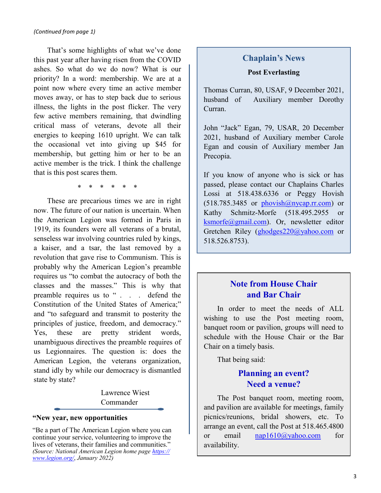That's some highlights of what we've done this past year after having risen from the COVID ashes. So what do we do now? What is our priority? In a word: membership. We are at a point now where every time an active member moves away, or has to step back due to serious illness, the lights in the post flicker. The very few active members remaining, that dwindling critical mass of veterans, devote all their energies to keeping 1610 upright. We can talk the occasional vet into giving up \$45 for membership, but getting him or her to be an active member is the trick. I think the challenge that is this post scares them.

\* \* \* \* \* \*

These are precarious times we are in right now. The future of our nation is uncertain. When the American Legion was formed in Paris in 1919, its founders were all veterans of a brutal, senseless war involving countries ruled by kings, a kaiser, and a tsar, the last removed by a revolution that gave rise to Communism. This is probably why the American Legion's preamble requires us "to combat the autocracy of both the classes and the masses." This is why that preamble requires us to " . . . defend the Constitution of the United States of America;" and "to safeguard and transmit to posterity the principles of justice, freedom, and democracy." Yes, these are pretty strident words, unambiguous directives the preamble requires of us Legionnaires. The question is: does the American Legion, the veterans organization, stand idly by while our democracy is dismantled state by state?

> Lawrence Wiest Commander

#### **"New year, new opportunities**

"Be a part of The American Legion where you can continue your service, volunteering to improve the lives of veterans, their families and communities." *(Source: National American Legion home page [https://](https://www.legion.org/) [www.legion.org/](https://www.legion.org/)*, *January 2022)*

## **Chaplain's News**

#### **Post Everlasting**

Thomas Curran, 80, USAF, 9 December 2021, husband of Auxiliary member Dorothy Curran.

John "Jack" Egan, 79, USAR, 20 December 2021, husband of Auxiliary member Carole Egan and cousin of Auxiliary member Jan Precopia.

If you know of anyone who is sick or has passed, please contact our Chaplains Charles Lossi at 518.438.6336 or Peggy Hovish  $(518.785.3485$  or phovish $@n$ ycap.rr.com) or Kathy Schmitz-Morfe (518.495.2955 or [ksmorfe@gmail.com\).](mailto:ksmorfe@gmail.com) Or, newsletter editor Gretchen Riley [\(ghodges220@yahoo.com](mailto:ghodges220@yahoo.com) or 518.526.8753).

# **Note from House Chair and Bar Chair**

In order to meet the needs of ALL wishing to use the Post meeting room, banquet room or pavilion, groups will need to schedule with the House Chair or the Bar Chair on a timely basis.

That being said:

# **Planning an event? Need a venue?**

The Post banquet room, meeting room, and pavilion are available for meetings, family picnics/reunions, bridal showers, etc. To arrange an event, call the Post at 518.465.4800 or email [nap1610@yahoo.com](mailto:nap1610@yahoo.com) for availability.